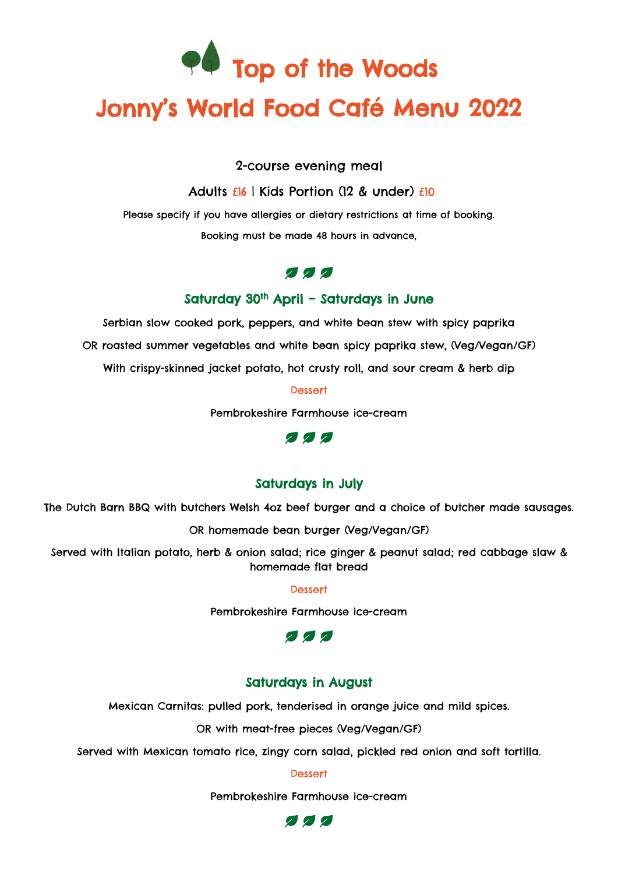

# Jonny's World Food Café Menu 2022

2-course evening meal

Adults £16 | Kids Portion (12 & under) £10

Please specify if you have allergies or dietary restrictions at time of booking.

Booking must be made 48 hours in advance,

## 222

#### Saturday 30<sup>th</sup> April – Saturdays in June

Serbian slow cooked pork, peppers, and white bean stew with spicy paprika OR roasted summer vegetables and white bean spicy paprika stew, (Veg/Vegan/GF) With crispy-skinned jacket potato, hot crusty roll, and sour cream & herb dip

**Dessert** 

Pembrokeshire Farmhouse ice-cream



### Saturdays in July

The Dutch Barn BBQ with butchers Welsh 4oz beef burger and a choice of butcher made sausages.

OR homemade bean burger (Veg/Vegan/GF)

Served with Italian potato, herb & onion salad; rice ginger & peanut salad; red cabbage slaw & homemade flat bread

Dessert

Pembrokeshire Farmhouse ice-cream



#### Saturdays in August

Mexican Carnitas: pulled pork, tenderised in orange juice and mild spices.

OR with meat-free pieces (Veg/Vegan/GF)

Served with Mexican tomato rice, zingy corn salad, pickled red onion and soft tortilla.

**Dessert** 

Pembrokeshire Farmhouse ice-cream